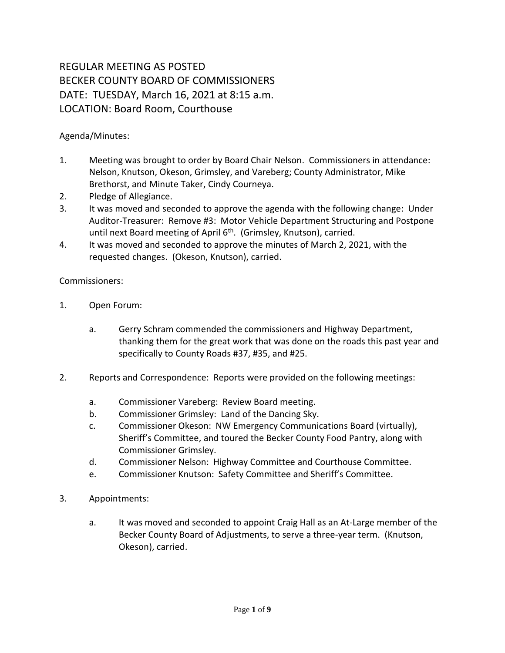## REGULAR MEETING AS POSTED BECKER COUNTY BOARD OF COMMISSIONERS DATE: TUESDAY, March 16, 2021 at 8:15 a.m. LOCATION: Board Room, Courthouse

Agenda/Minutes:

- 1. Meeting was brought to order by Board Chair Nelson. Commissioners in attendance: Nelson, Knutson, Okeson, Grimsley, and Vareberg; County Administrator, Mike Brethorst, and Minute Taker, Cindy Courneya.
- 2. Pledge of Allegiance.
- 3. It was moved and seconded to approve the agenda with the following change: Under Auditor-Treasurer: Remove #3: Motor Vehicle Department Structuring and Postpone until next Board meeting of April 6<sup>th</sup>. (Grimsley, Knutson), carried.
- 4. It was moved and seconded to approve the minutes of March 2, 2021, with the requested changes. (Okeson, Knutson), carried.

Commissioners:

- 1. Open Forum:
	- a. Gerry Schram commended the commissioners and Highway Department, thanking them for the great work that was done on the roads this past year and specifically to County Roads #37, #35, and #25.
- 2. Reports and Correspondence: Reports were provided on the following meetings:
	- a. Commissioner Vareberg: Review Board meeting.
	- b. Commissioner Grimsley: Land of the Dancing Sky.
	- c. Commissioner Okeson: NW Emergency Communications Board (virtually), Sheriff's Committee, and toured the Becker County Food Pantry, along with Commissioner Grimsley.
	- d. Commissioner Nelson: Highway Committee and Courthouse Committee.
	- e. Commissioner Knutson: Safety Committee and Sheriff's Committee.
- 3. Appointments:
	- a. It was moved and seconded to appoint Craig Hall as an At-Large member of the Becker County Board of Adjustments, to serve a three-year term. (Knutson, Okeson), carried.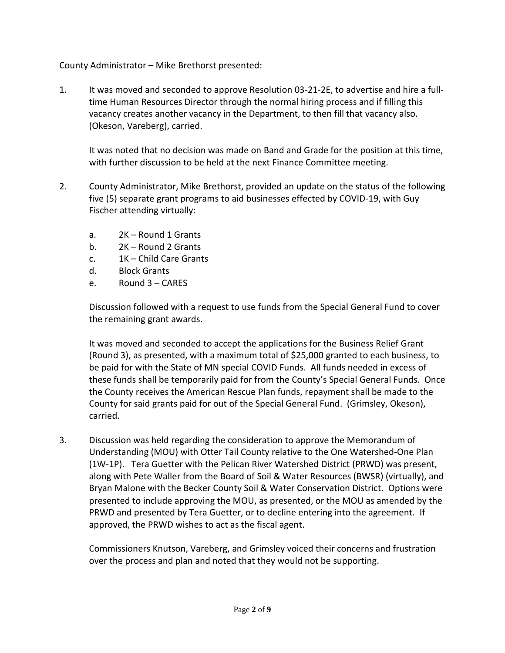County Administrator – Mike Brethorst presented:

1. It was moved and seconded to approve Resolution 03-21-2E, to advertise and hire a fulltime Human Resources Director through the normal hiring process and if filling this vacancy creates another vacancy in the Department, to then fill that vacancy also. (Okeson, Vareberg), carried.

It was noted that no decision was made on Band and Grade for the position at this time, with further discussion to be held at the next Finance Committee meeting.

- 2. County Administrator, Mike Brethorst, provided an update on the status of the following five (5) separate grant programs to aid businesses effected by COVID-19, with Guy Fischer attending virtually:
	- a. 2K Round 1 Grants
	- b. 2K Round 2 Grants
	- c. 1K Child Care Grants
	- d. Block Grants
	- e. Round 3 CARES

Discussion followed with a request to use funds from the Special General Fund to cover the remaining grant awards.

It was moved and seconded to accept the applications for the Business Relief Grant (Round 3), as presented, with a maximum total of \$25,000 granted to each business, to be paid for with the State of MN special COVID Funds. All funds needed in excess of these funds shall be temporarily paid for from the County's Special General Funds. Once the County receives the American Rescue Plan funds, repayment shall be made to the County for said grants paid for out of the Special General Fund. (Grimsley, Okeson), carried.

3. Discussion was held regarding the consideration to approve the Memorandum of Understanding (MOU) with Otter Tail County relative to the One Watershed-One Plan (1W-1P). Tera Guetter with the Pelican River Watershed District (PRWD) was present, along with Pete Waller from the Board of Soil & Water Resources (BWSR) (virtually), and Bryan Malone with the Becker County Soil & Water Conservation District. Options were presented to include approving the MOU, as presented, or the MOU as amended by the PRWD and presented by Tera Guetter, or to decline entering into the agreement. If approved, the PRWD wishes to act as the fiscal agent.

Commissioners Knutson, Vareberg, and Grimsley voiced their concerns and frustration over the process and plan and noted that they would not be supporting.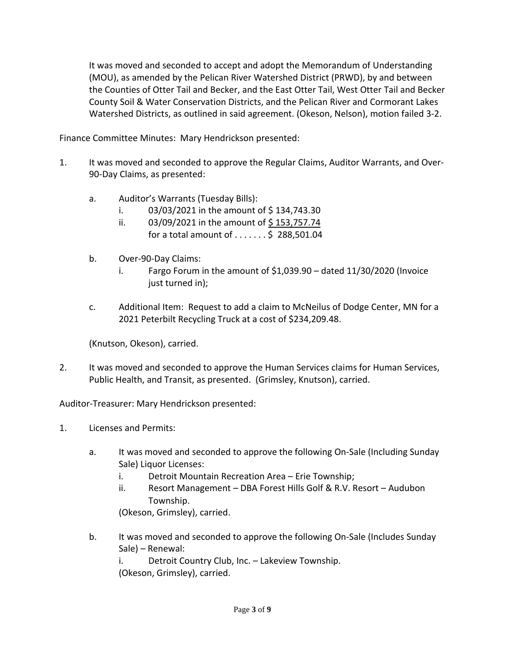It was moved and seconded to accept and adopt the Memorandum of Understanding (MOU), as amended by the Pelican River Watershed District (PRWD), by and between the Counties of Otter Tail and Becker, and the East Otter Tail, West Otter Tail and Becker County Soil & Water Conservation Districts, and the Pelican River and Cormorant Lakes Watershed Districts, as outlined in said agreement. (Okeson, Nelson), motion failed 3-2.

Finance Committee Minutes: Mary Hendrickson presented:

- 1. It was moved and seconded to approve the Regular Claims, Auditor Warrants, and Over-90-Day Claims, as presented:
	- a. Auditor's Warrants (Tuesday Bills):
		- i.  $03/03/2021$  in the amount of \$134,743.30
		- ii.  $03/09/2021$  in the amount of \$153,757.74 for a total amount of  $\dots \dots$ \$ 288,501.04
	- b. Over-90-Day Claims:
		- i. Fargo Forum in the amount of  $$1,039.90 -$  dated  $11/30/2020$  (Invoice just turned in);
	- c. Additional Item: Request to add a claim to McNeilus of Dodge Center, MN for a 2021 Peterbilt Recycling Truck at a cost of \$234,209.48.

(Knutson, Okeson), carried.

2. It was moved and seconded to approve the Human Services claims for Human Services, Public Health, and Transit, as presented. (Grimsley, Knutson), carried.

Auditor-Treasurer: Mary Hendrickson presented:

- 1. Licenses and Permits:
	- a. It was moved and seconded to approve the following On-Sale (Including Sunday Sale) Liquor Licenses:
		- i. Detroit Mountain Recreation Area Erie Township;
		- ii. Resort Management DBA Forest Hills Golf & R.V. Resort Audubon Township.

(Okeson, Grimsley), carried.

b. It was moved and seconded to approve the following On-Sale (Includes Sunday Sale) – Renewal:

i. Detroit Country Club, Inc. – Lakeview Township. (Okeson, Grimsley), carried.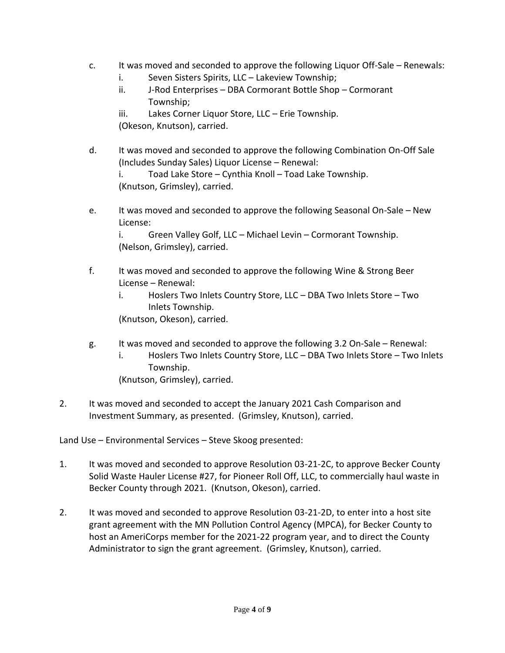- c. It was moved and seconded to approve the following Liquor Off-Sale Renewals:
	- i. Seven Sisters Spirits, LLC Lakeview Township;
	- ii. J-Rod Enterprises DBA Cormorant Bottle Shop Cormorant Township;
	- iii. Lakes Corner Liquor Store, LLC Erie Township. (Okeson, Knutson), carried.
- d. It was moved and seconded to approve the following Combination On-Off Sale (Includes Sunday Sales) Liquor License – Renewal: i. Toad Lake Store – Cynthia Knoll – Toad Lake Township. (Knutson, Grimsley), carried.
- e. It was moved and seconded to approve the following Seasonal On-Sale New License:

i. Green Valley Golf, LLC – Michael Levin – Cormorant Township. (Nelson, Grimsley), carried.

- f. It was moved and seconded to approve the following Wine & Strong Beer License – Renewal:
	- i. Hoslers Two Inlets Country Store, LLC DBA Two Inlets Store Two Inlets Township.

(Knutson, Okeson), carried.

- g. It was moved and seconded to approve the following 3.2 On-Sale Renewal:
	- i. Hoslers Two Inlets Country Store, LLC DBA Two Inlets Store Two Inlets Township.
	- (Knutson, Grimsley), carried.
- 2. It was moved and seconded to accept the January 2021 Cash Comparison and Investment Summary, as presented. (Grimsley, Knutson), carried.

Land Use – Environmental Services – Steve Skoog presented:

- 1. It was moved and seconded to approve Resolution 03-21-2C, to approve Becker County Solid Waste Hauler License #27, for Pioneer Roll Off, LLC, to commercially haul waste in Becker County through 2021. (Knutson, Okeson), carried.
- 2. It was moved and seconded to approve Resolution 03-21-2D, to enter into a host site grant agreement with the MN Pollution Control Agency (MPCA), for Becker County to host an AmeriCorps member for the 2021-22 program year, and to direct the County Administrator to sign the grant agreement. (Grimsley, Knutson), carried.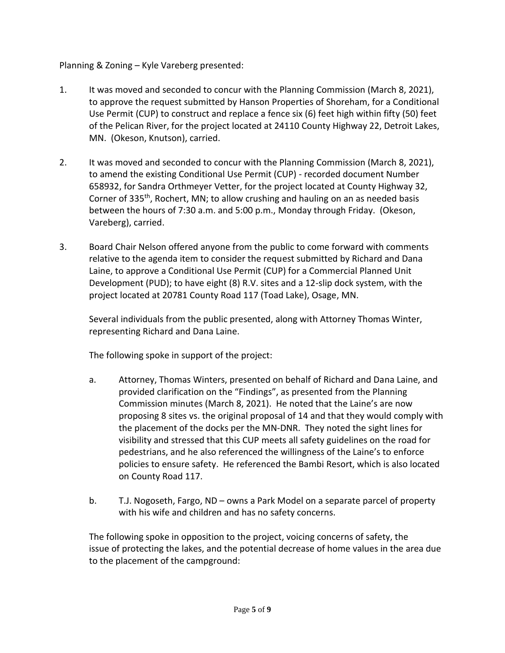## Planning & Zoning – Kyle Vareberg presented:

- 1. It was moved and seconded to concur with the Planning Commission (March 8, 2021), to approve the request submitted by Hanson Properties of Shoreham, for a Conditional Use Permit (CUP) to construct and replace a fence six (6) feet high within fifty (50) feet of the Pelican River, for the project located at 24110 County Highway 22, Detroit Lakes, MN. (Okeson, Knutson), carried.
- 2. It was moved and seconded to concur with the Planning Commission (March 8, 2021), to amend the existing Conditional Use Permit (CUP) - recorded document Number 658932, for Sandra Orthmeyer Vetter, for the project located at County Highway 32, Corner of 335<sup>th</sup>, Rochert, MN; to allow crushing and hauling on an as needed basis between the hours of 7:30 a.m. and 5:00 p.m., Monday through Friday. (Okeson, Vareberg), carried.
- 3. Board Chair Nelson offered anyone from the public to come forward with comments relative to the agenda item to consider the request submitted by Richard and Dana Laine, to approve a Conditional Use Permit (CUP) for a Commercial Planned Unit Development (PUD); to have eight (8) R.V. sites and a 12-slip dock system, with the project located at 20781 County Road 117 (Toad Lake), Osage, MN.

Several individuals from the public presented, along with Attorney Thomas Winter, representing Richard and Dana Laine.

The following spoke in support of the project:

- a. Attorney, Thomas Winters, presented on behalf of Richard and Dana Laine, and provided clarification on the "Findings", as presented from the Planning Commission minutes (March 8, 2021). He noted that the Laine's are now proposing 8 sites vs. the original proposal of 14 and that they would comply with the placement of the docks per the MN-DNR. They noted the sight lines for visibility and stressed that this CUP meets all safety guidelines on the road for pedestrians, and he also referenced the willingness of the Laine's to enforce policies to ensure safety. He referenced the Bambi Resort, which is also located on County Road 117.
- b. T.J. Nogoseth, Fargo, ND owns a Park Model on a separate parcel of property with his wife and children and has no safety concerns.

The following spoke in opposition to the project, voicing concerns of safety, the issue of protecting the lakes, and the potential decrease of home values in the area due to the placement of the campground: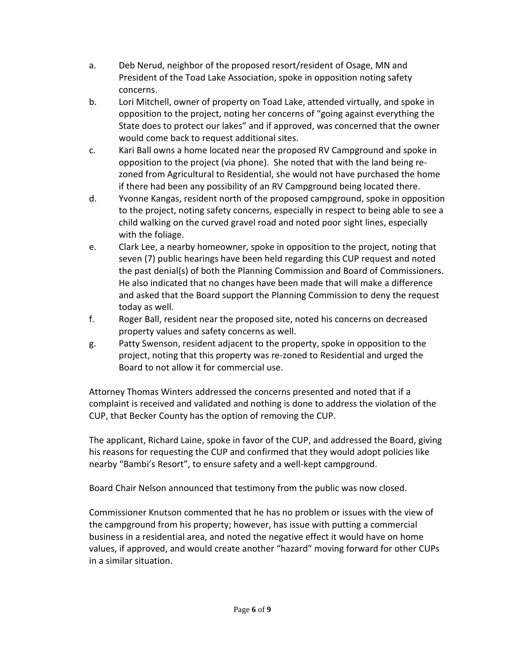- a. Deb Nerud, neighbor of the proposed resort/resident of Osage, MN and President of the Toad Lake Association, spoke in opposition noting safety concerns.
- b. Lori Mitchell, owner of property on Toad Lake, attended virtually, and spoke in opposition to the project, noting her concerns of "going against everything the State does to protect our lakes" and if approved, was concerned that the owner would come back to request additional sites.
- c. Kari Ball owns a home located near the proposed RV Campground and spoke in opposition to the project (via phone). She noted that with the land being rezoned from Agricultural to Residential, she would not have purchased the home if there had been any possibility of an RV Campground being located there.
- d. Yvonne Kangas, resident north of the proposed campground, spoke in opposition to the project, noting safety concerns, especially in respect to being able to see a child walking on the curved gravel road and noted poor sight lines, especially with the foliage.
- e. Clark Lee, a nearby homeowner, spoke in opposition to the project, noting that seven (7) public hearings have been held regarding this CUP request and noted the past denial(s) of both the Planning Commission and Board of Commissioners. He also indicated that no changes have been made that will make a difference and asked that the Board support the Planning Commission to deny the request today as well.
- f. Roger Ball, resident near the proposed site, noted his concerns on decreased property values and safety concerns as well.
- g. Patty Swenson, resident adjacent to the property, spoke in opposition to the project, noting that this property was re-zoned to Residential and urged the Board to not allow it for commercial use.

Attorney Thomas Winters addressed the concerns presented and noted that if a complaint is received and validated and nothing is done to address the violation of the CUP, that Becker County has the option of removing the CUP.

The applicant, Richard Laine, spoke in favor of the CUP, and addressed the Board, giving his reasons for requesting the CUP and confirmed that they would adopt policies like nearby "Bambi's Resort", to ensure safety and a well-kept campground.

Board Chair Nelson announced that testimony from the public was now closed.

Commissioner Knutson commented that he has no problem or issues with the view of the campground from his property; however, has issue with putting a commercial business in a residential area, and noted the negative effect it would have on home values, if approved, and would create another "hazard" moving forward for other CUPs in a similar situation.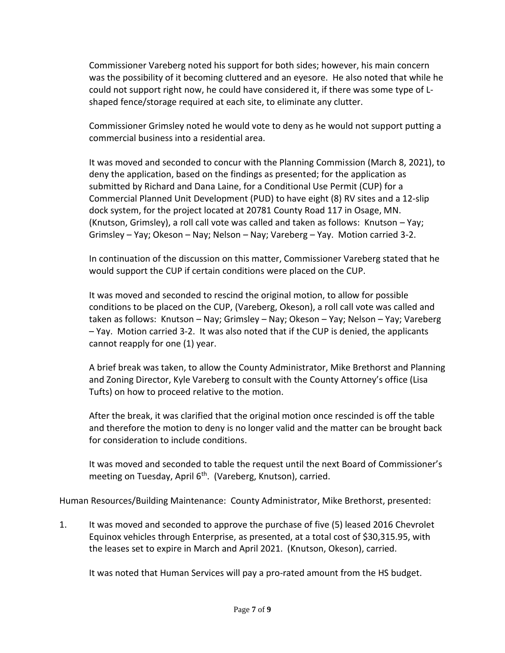Commissioner Vareberg noted his support for both sides; however, his main concern was the possibility of it becoming cluttered and an eyesore. He also noted that while he could not support right now, he could have considered it, if there was some type of Lshaped fence/storage required at each site, to eliminate any clutter.

Commissioner Grimsley noted he would vote to deny as he would not support putting a commercial business into a residential area.

It was moved and seconded to concur with the Planning Commission (March 8, 2021), to deny the application, based on the findings as presented; for the application as submitted by Richard and Dana Laine, for a Conditional Use Permit (CUP) for a Commercial Planned Unit Development (PUD) to have eight (8) RV sites and a 12-slip dock system, for the project located at 20781 County Road 117 in Osage, MN. (Knutson, Grimsley), a roll call vote was called and taken as follows: Knutson – Yay; Grimsley – Yay; Okeson – Nay; Nelson – Nay; Vareberg – Yay. Motion carried 3-2.

In continuation of the discussion on this matter, Commissioner Vareberg stated that he would support the CUP if certain conditions were placed on the CUP.

It was moved and seconded to rescind the original motion, to allow for possible conditions to be placed on the CUP, (Vareberg, Okeson), a roll call vote was called and taken as follows: Knutson – Nay; Grimsley – Nay; Okeson – Yay; Nelson – Yay; Vareberg – Yay. Motion carried 3-2. It was also noted that if the CUP is denied, the applicants cannot reapply for one (1) year.

A brief break was taken, to allow the County Administrator, Mike Brethorst and Planning and Zoning Director, Kyle Vareberg to consult with the County Attorney's office (Lisa Tufts) on how to proceed relative to the motion.

After the break, it was clarified that the original motion once rescinded is off the table and therefore the motion to deny is no longer valid and the matter can be brought back for consideration to include conditions.

It was moved and seconded to table the request until the next Board of Commissioner's meeting on Tuesday, April  $6<sup>th</sup>$ . (Vareberg, Knutson), carried.

Human Resources/Building Maintenance: County Administrator, Mike Brethorst, presented:

1. It was moved and seconded to approve the purchase of five (5) leased 2016 Chevrolet Equinox vehicles through Enterprise, as presented, at a total cost of \$30,315.95, with the leases set to expire in March and April 2021. (Knutson, Okeson), carried.

It was noted that Human Services will pay a pro-rated amount from the HS budget.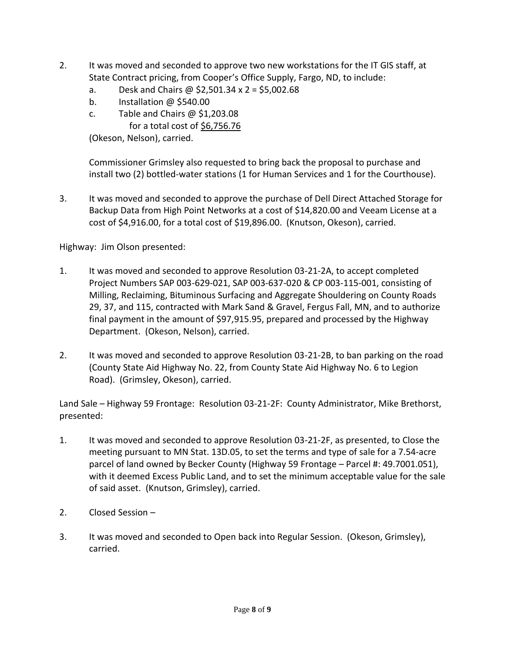- 2. It was moved and seconded to approve two new workstations for the IT GIS staff, at State Contract pricing, from Cooper's Office Supply, Fargo, ND, to include:
	- a. Desk and Chairs @  $$2,501.34 \times 2 = $5,002.68$
	- b. Installation @ \$540.00
	- c. Table and Chairs  $\omega$  \$1,203.08
		- for a total cost of \$6,756.76

(Okeson, Nelson), carried.

Commissioner Grimsley also requested to bring back the proposal to purchase and install two (2) bottled-water stations (1 for Human Services and 1 for the Courthouse).

3. It was moved and seconded to approve the purchase of Dell Direct Attached Storage for Backup Data from High Point Networks at a cost of \$14,820.00 and Veeam License at a cost of \$4,916.00, for a total cost of \$19,896.00. (Knutson, Okeson), carried.

Highway: Jim Olson presented:

- 1. It was moved and seconded to approve Resolution 03-21-2A, to accept completed Project Numbers SAP 003-629-021, SAP 003-637-020 & CP 003-115-001, consisting of Milling, Reclaiming, Bituminous Surfacing and Aggregate Shouldering on County Roads 29, 37, and 115, contracted with Mark Sand & Gravel, Fergus Fall, MN, and to authorize final payment in the amount of \$97,915.95, prepared and processed by the Highway Department. (Okeson, Nelson), carried.
- 2. It was moved and seconded to approve Resolution 03-21-2B, to ban parking on the road (County State Aid Highway No. 22, from County State Aid Highway No. 6 to Legion Road). (Grimsley, Okeson), carried.

Land Sale – Highway 59 Frontage: Resolution 03-21-2F: County Administrator, Mike Brethorst, presented:

- 1. It was moved and seconded to approve Resolution 03-21-2F, as presented, to Close the meeting pursuant to MN Stat. 13D.05, to set the terms and type of sale for a 7.54-acre parcel of land owned by Becker County (Highway 59 Frontage – Parcel #: 49.7001.051), with it deemed Excess Public Land, and to set the minimum acceptable value for the sale of said asset. (Knutson, Grimsley), carried.
- 2. Closed Session –
- 3. It was moved and seconded to Open back into Regular Session. (Okeson, Grimsley), carried.